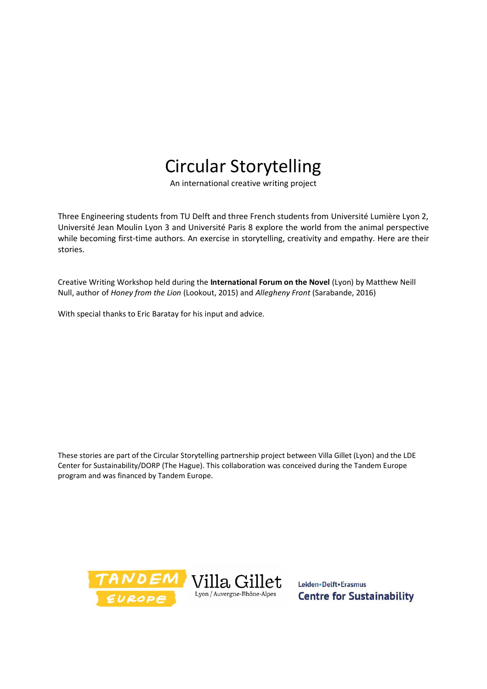## Circular Storytelling

An international creative writing project

Three Engineering students from TU Delft and three French students from Université Lumière Lyon 2, Université Jean Moulin Lyon 3 and Université Paris 8 explore the world from the animal perspective while becoming first-time authors. An exercise in storytelling, creativity and empathy. Here are their stories.

Creative Writing Workshop held during the **International Forum on the Novel** (Lyon) by Matthew Neill Null, author of *Honey from the Lion* (Lookout, 2015) and *Allegheny Front* (Sarabande, 2016)

With special thanks to Eric Baratay for his input and advice.

These stories are part of the Circular Storytelling partnership project between Villa Gillet (Lyon) and the LDE Center for Sustainability/DORP (The Hague). This collaboration was conceived during the Tandem Europe program and was financed by Tandem Europe.



Leiden - Delft - Erasmus **Centre for Sustainability**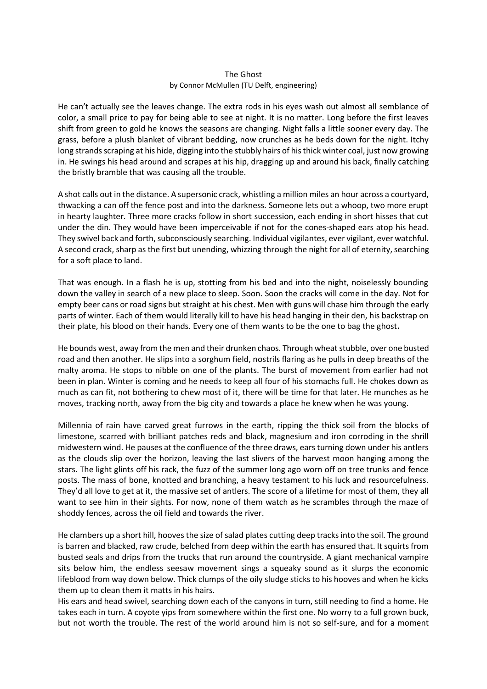## The Ghost by Connor McMullen (TU Delft, engineering)

He can't actually see the leaves change. The extra rods in his eyes wash out almost all semblance of color, a small price to pay for being able to see at night. It is no matter. Long before the first leaves shift from green to gold he knows the seasons are changing. Night falls a little sooner every day. The grass, before a plush blanket of vibrant bedding, now crunches as he beds down for the night. Itchy long strands scraping at his hide, digging into the stubbly hairs of his thick winter coal, just now growing in. He swings his head around and scrapes at his hip, dragging up and around his back, finally catching the bristly bramble that was causing all the trouble.

A shot calls out in the distance. A supersonic crack, whistling a million miles an hour across a courtyard, thwacking a can off the fence post and into the darkness. Someone lets out a whoop, two more erupt in hearty laughter. Three more cracks follow in short succession, each ending in short hisses that cut under the din. They would have been imperceivable if not for the cones-shaped ears atop his head. They swivel back and forth, subconsciously searching. Individual vigilantes, ever vigilant, ever watchful. A second crack, sharp as the first but unending, whizzing through the night for all of eternity, searching for a soft place to land.

That was enough. In a flash he is up, stotting from his bed and into the night, noiselessly bounding down the valley in search of a new place to sleep. Soon. Soon the cracks will come in the day. Not for empty beer cans or road signs but straight at his chest. Men with guns will chase him through the early parts of winter. Each of them would literally kill to have his head hanging in their den, his backstrap on their plate, his blood on their hands. Every one of them wants to be the one to bag the ghost**.** 

He bounds west, away from the men and their drunken chaos. Through wheat stubble, over one busted road and then another. He slips into a sorghum field, nostrils flaring as he pulls in deep breaths of the malty aroma. He stops to nibble on one of the plants. The burst of movement from earlier had not been in plan. Winter is coming and he needs to keep all four of his stomachs full. He chokes down as much as can fit, not bothering to chew most of it, there will be time for that later. He munches as he moves, tracking north, away from the big city and towards a place he knew when he was young.

Millennia of rain have carved great furrows in the earth, ripping the thick soil from the blocks of limestone, scarred with brilliant patches reds and black, magnesium and iron corroding in the shrill midwestern wind. He pauses at the confluence of the three draws, ears turning down under his antlers as the clouds slip over the horizon, leaving the last slivers of the harvest moon hanging among the stars. The light glints off his rack, the fuzz of the summer long ago worn off on tree trunks and fence posts. The mass of bone, knotted and branching, a heavy testament to his luck and resourcefulness. They'd all love to get at it, the massive set of antlers. The score of a lifetime for most of them, they all want to see him in their sights. For now, none of them watch as he scrambles through the maze of shoddy fences, across the oil field and towards the river.

He clambers up a short hill, hooves the size of salad plates cutting deep tracks into the soil. The ground is barren and blacked, raw crude, belched from deep within the earth has ensured that. It squirts from busted seals and drips from the trucks that run around the countryside. A giant mechanical vampire sits below him, the endless seesaw movement sings a squeaky sound as it slurps the economic lifeblood from way down below. Thick clumps of the oily sludge sticks to his hooves and when he kicks them up to clean them it matts in his hairs.

His ears and head swivel, searching down each of the canyons in turn, still needing to find a home. He takes each in turn. A coyote yips from somewhere within the first one. No worry to a full grown buck, but not worth the trouble. The rest of the world around him is not so self-sure, and for a moment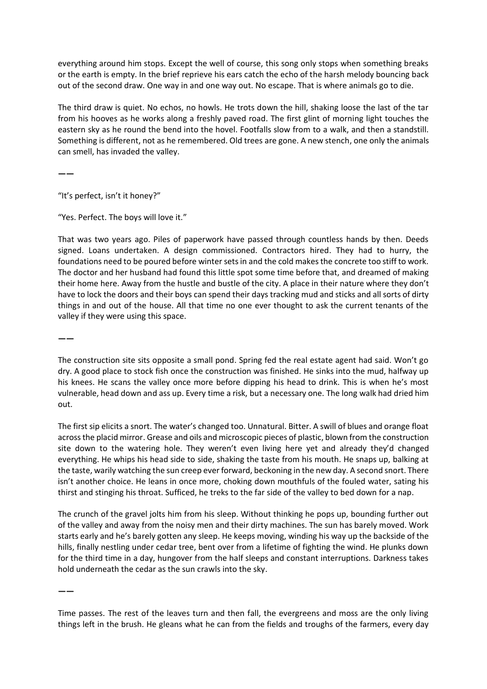everything around him stops. Except the well of course, this song only stops when something breaks or the earth is empty. In the brief reprieve his ears catch the echo of the harsh melody bouncing back out of the second draw. One way in and one way out. No escape. That is where animals go to die.

The third draw is quiet. No echos, no howls. He trots down the hill, shaking loose the last of the tar from his hooves as he works along a freshly paved road. The first glint of morning light touches the eastern sky as he round the bend into the hovel. Footfalls slow from to a walk, and then a standstill. Something is different, not as he remembered. Old trees are gone. A new stench, one only the animals can smell, has invaded the valley.

**——**

"It's perfect, isn't it honey?"

"Yes. Perfect. The boys will love it."

That was two years ago. Piles of paperwork have passed through countless hands by then. Deeds signed. Loans undertaken. A design commissioned. Contractors hired. They had to hurry, the foundations need to be poured before winter sets in and the cold makes the concrete too stiff to work. The doctor and her husband had found this little spot some time before that, and dreamed of making their home here. Away from the hustle and bustle of the city. A place in their nature where they don't have to lock the doors and their boys can spend their days tracking mud and sticks and all sorts of dirty things in and out of the house. All that time no one ever thought to ask the current tenants of the valley if they were using this space.

**——**

The construction site sits opposite a small pond. Spring fed the real estate agent had said. Won't go dry. A good place to stock fish once the construction was finished. He sinks into the mud, halfway up his knees. He scans the valley once more before dipping his head to drink. This is when he's most vulnerable, head down and ass up. Every time a risk, but a necessary one. The long walk had dried him out.

The first sip elicits a snort. The water's changed too. Unnatural. Bitter. A swill of blues and orange float across the placid mirror. Grease and oils and microscopic pieces of plastic, blown from the construction site down to the watering hole. They weren't even living here yet and already they'd changed everything. He whips his head side to side, shaking the taste from his mouth. He snaps up, balking at the taste, warily watching the sun creep ever forward, beckoning in the new day. A second snort. There isn't another choice. He leans in once more, choking down mouthfuls of the fouled water, sating his thirst and stinging his throat. Sufficed, he treks to the far side of the valley to bed down for a nap.

The crunch of the gravel jolts him from his sleep. Without thinking he pops up, bounding further out of the valley and away from the noisy men and their dirty machines. The sun has barely moved. Work starts early and he's barely gotten any sleep. He keeps moving, winding his way up the backside of the hills, finally nestling under cedar tree, bent over from a lifetime of fighting the wind. He plunks down for the third time in a day, hungover from the half sleeps and constant interruptions. Darkness takes hold underneath the cedar as the sun crawls into the sky.

**——**

Time passes. The rest of the leaves turn and then fall, the evergreens and moss are the only living things left in the brush. He gleans what he can from the fields and troughs of the farmers, every day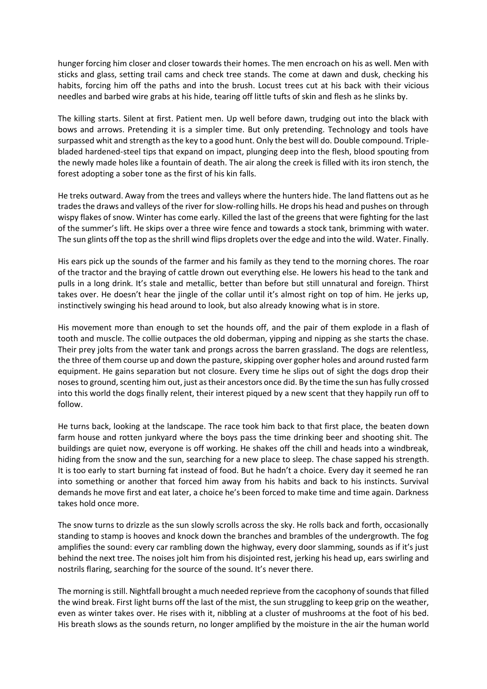hunger forcing him closer and closer towards their homes. The men encroach on his as well. Men with sticks and glass, setting trail cams and check tree stands. The come at dawn and dusk, checking his habits, forcing him off the paths and into the brush. Locust trees cut at his back with their vicious needles and barbed wire grabs at his hide, tearing off little tufts of skin and flesh as he slinks by.

The killing starts. Silent at first. Patient men. Up well before dawn, trudging out into the black with bows and arrows. Pretending it is a simpler time. But only pretending. Technology and tools have surpassed whit and strength as the key to a good hunt. Only the best will do. Double compound. Triplebladed hardened-steel tips that expand on impact, plunging deep into the flesh, blood spouting from the newly made holes like a fountain of death. The air along the creek is filled with its iron stench, the forest adopting a sober tone as the first of his kin falls.

He treks outward. Away from the trees and valleys where the hunters hide. The land flattens out as he trades the draws and valleys of the river for slow-rolling hills. He drops his head and pushes on through wispy flakes of snow. Winter has come early. Killed the last of the greens that were fighting for the last of the summer's lift. He skips over a three wire fence and towards a stock tank, brimming with water. The sun glints off the top as the shrill wind flips droplets over the edge and into the wild. Water. Finally.

His ears pick up the sounds of the farmer and his family as they tend to the morning chores. The roar of the tractor and the braying of cattle drown out everything else. He lowers his head to the tank and pulls in a long drink. It's stale and metallic, better than before but still unnatural and foreign. Thirst takes over. He doesn't hear the jingle of the collar until it's almost right on top of him. He jerks up, instinctively swinging his head around to look, but also already knowing what is in store.

His movement more than enough to set the hounds off, and the pair of them explode in a flash of tooth and muscle. The collie outpaces the old doberman, yipping and nipping as she starts the chase. Their prey jolts from the water tank and prongs across the barren grassland. The dogs are relentless, the three of them course up and down the pasture, skipping over gopher holes and around rusted farm equipment. He gains separation but not closure. Every time he slips out of sight the dogs drop their noses to ground, scenting him out, just as their ancestors once did. By the time the sun has fully crossed into this world the dogs finally relent, their interest piqued by a new scent that they happily run off to follow.

He turns back, looking at the landscape. The race took him back to that first place, the beaten down farm house and rotten junkyard where the boys pass the time drinking beer and shooting shit. The buildings are quiet now, everyone is off working. He shakes off the chill and heads into a windbreak, hiding from the snow and the sun, searching for a new place to sleep. The chase sapped his strength. It is too early to start burning fat instead of food. But he hadn't a choice. Every day it seemed he ran into something or another that forced him away from his habits and back to his instincts. Survival demands he move first and eat later, a choice he's been forced to make time and time again. Darkness takes hold once more.

The snow turns to drizzle as the sun slowly scrolls across the sky. He rolls back and forth, occasionally standing to stamp is hooves and knock down the branches and brambles of the undergrowth. The fog amplifies the sound: every car rambling down the highway, every door slamming, sounds as if it's just behind the next tree. The noises jolt him from his disjointed rest, jerking his head up, ears swirling and nostrils flaring, searching for the source of the sound. It's never there.

The morning is still. Nightfall brought a much needed reprieve from the cacophony of sounds that filled the wind break. First light burns off the last of the mist, the sun struggling to keep grip on the weather, even as winter takes over. He rises with it, nibbling at a cluster of mushrooms at the foot of his bed. His breath slows as the sounds return, no longer amplified by the moisture in the air the human world